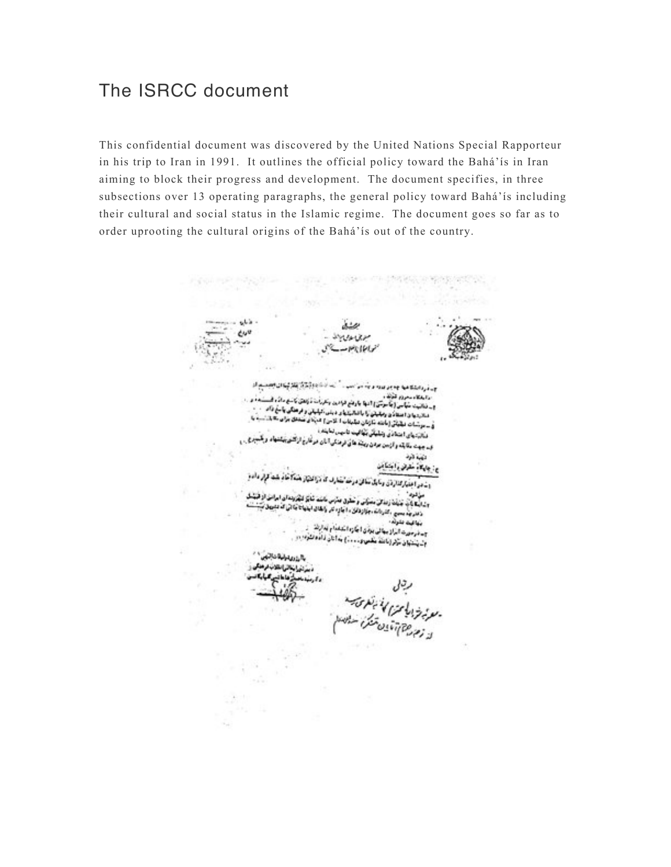# The ISRCC document

This confidential document was discovered by the United Nations Special Rapporteur in his trip to Iran in 1991. It outlines the official policy toward the Bahá'ís in Iran aiming to block their progress and development. The document specifies, in three subsections over 13 operating paragraphs, the general policy toward Bahá'ís including their cultural and social status in the Islamic regime. The document goes so far as to order uprooting the cultural origins of the Bahá'ís out of the country.

ذباره **dull** <u>نى ئادەۋككۇنغۇ ئويان بېيىسى</u> ك In a lost your hadded a sing . We never the ty ا روابطها وسعودم تقوله .<br>و \_ فنانيت منها من أينا موسى السها بارونع فوادون وتعرفات فانتقل كالدي ما كان المستحدة و . .<br>و \_ فنانيت منها من أينا موسى السهاد و براي روابط و الدين و فرهنگي بالدين الا د ر تبالیت میآمی (جاموس ) امواج بردم موسیق برسیده میشود.<br>منابعهای استفادی رمانیان آرا با امالیکهای دیلی امیلیانی و فرهنگی یا معُ داد.<br>منابعهای استفادی رمانیان آرا با امالیکهای دیلی امتحاد سنجال استفاد د. از زیر با از استادی رمایش را با محصول دانش است.<br>فی سرشنات دیگیاتی (مانند مازمان دیگیایات ا گذش) میباش منتقل برای «<br>ا وزور برای استاذی ویلیکی بگالیت تا بیس لنایند .<br>در این برای استاذی ویلیکی بگالیت تا بیس اما ده دیاتی بیای استفادی و شابهایی مهاجمه تا مهدی سالهای در تمارخ از تشویهایشهاد و یک<br>و<sub>سه جن</sub>هت مقابله و از سن مردی ریشه ها تی ترمذکی ا ناری در تمارخ از تشویهایشهاد و یک تهية ذرذ ح: جاوگاه مقران و اجتماعن نافئ مراحة لتفارف كذاذا المتوا بفتكا أفأد بلبط كإثر مأدو اسعو اعتبار كذارةن وحاول موکس و سطوی میترس ماست شایک کنگروندان امرات از فنا موالون وشابنا بأبو فنفذ زمذانيء راینا بال کشور از این محل مساولی و حکوی محرس حاصد منابع میتوانستان میشود.<br>دهدر بد سمع - کشورات، بیازدلای دا بال دیر وابقای ایفیاتا بیان آن متبوی ب نهافيت بشرته ا بنها فيمه مقتوله .<br>جــ فرمورت البراز بنهائي بزدي ! بكاره الكنفذام لماركة<br>- م شارع في الماركة و ـ ترمورت الزاز بیانی بودن (جازه است)<br>ول پلتیان توکر (باشد تکمیرو ـ ـ ـ ـ ) بدانان داده الترم بالقاعة والمكاتباتين مستقانتانيا تلائبهما وكرميانا رچال<br>- معرض شرار کا این بانکوسی سنده<br>از زمین بین آقایان تشکرا سنانه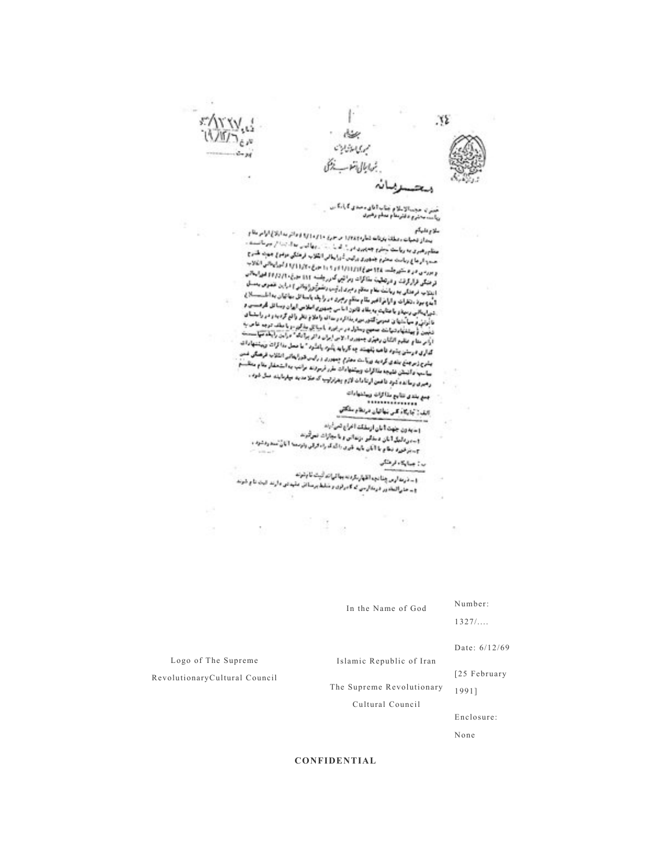

ختر با حجمالاملام جناب (بای محدی ) رانگاس<br>ریاست محروم دانرسام بدام رهبری

ی وفایهگام<br>بین از نیمیهای روسانی بازیافت شماره ۱۳۸۴ در سوری ۱۷۱۰ و اولی بودانتر به این کام منابع<br>بین از نیمیهای روسانیست كالإعليكم اینداز شهاده دهانه بازنامه نتارهاند (۱۳۸۴ با ۱۳۸۳ بر ۱۳۸۴ برای ۱۳۸۴ برای است.)<br>مطابرهبری به ریاست محرم جمهوری در ۱۰ این ۲۰۰۰ بر واکس به از ۱۳۰۰ بر برنامهنده .<br>در این برنام از مورد بازیگر بازیگری بازیگری بازیگری بازیگری با منظورهبری به ریاست مخرم جمهوری در ۱۰ که ۱۰ سبب به است که ۱۰ سبب<br>صبح از جاج ریاست مخرم جمهوری برایین گورا بیانی انگلاب فرهنگی دواجرا جمهانه طلبان<br>صبح از جاج ریاست مخرم جمهوری برای در دور برای (۱۷۱۱) از ایرانیا این از ۱۷۱ حسب از جاج ریاست مخرم جماوری برایین شاراهایی اینتوب فرانستی در این بازد.<br>و بورسی در دختیرجلسد ۱۹۵ متر (۱۹۶۴) (۱۹۶۲) و ۱۹۶ متری ۱۹۶۴) (۱۹۶۲) این اینانی انگلاب<br>و بورسی در دختیرجلسد ۱۹۶ متر (۱۹۶۲) در اینک رابی و بورسی در و منتهرجلسد ۱۳۸ خود (۱۳۱۶/۱۶۴۴ تا ۱۳۱۴) ۱۳۶۳ میلی ۲۶ در ۱۳۶۲<br>درختگی فرارگرفت و درتخلیت مقاتلوات رمزانهی که روشنبه ۱۹۱۲ میلی ۲۶ (۱۳۶۳ هیرامیکانی<br>درختگی فرارگرفت و درتخلیت میلاد میلید است را شده باشگرد را وبایی ا تر میکی قرار گرفت و درتمانیت مذاکرات زیرا این اما را باشند ۱۹۹۹ است و در میکند.<br>اینتزیم، فرهنگی به زیالت ماه و منظور میزان ارگوم، زار و باشن از ۱۹۰۴ میلاد کند و این است.<br>اینتزیم، فرهنگی به زیالت ماه و منظور میزان ارگوم، ز ا اینکاب فرهنگی به ریاضت بنام منظم و میری ارتوب و تصویری به میری به این بر<br>1 به وجود ، تخرات و ارام اخیر بقام منظم برجری در راجله باستا ای مهاجان به است.................................<br>1 به وجود ، تخرات و ارام اخیر بقاء 1 ماه و برز ، رنتارات و آرا نر اخیر مقام مدافع براجری در با چاه باشنا آن اختصاص از باشد.<br>- شهراینگانی برمها و با تخابت به بقای قانون اما می جمهوری اصلاحی اها ن وسائل گارهستی د<br>- شهراینگانی برمها و با تخابت به بسیر مها از شوراینگانی رسیداو با بتایید به بناد قانون اما می جمهوری احلاص ابتدا در است.<br>تاراونی و سیالشهای همزمی کشور مورد بدانش و سال واعلام نظر واقع گردید و در راستساق<br>تاراونی و سیالشهای همزمی کشور مورد برای و سیاستان بیانش مورد و نه آروني و سياستها ي هموس كشور ميره بخاطره و ساك واحلام محر تاجع الدين .<br>تجيهن أو بينشها و تنها منه صحيح وساول در مرادره با ميكان مقالوم و با بينش موجه ها مراد.<br>\* إكبر مقام عظيم الكليل و فهري ميرون ... و ... و ... و ... و ا را در مقام عظیم القان رهبری جمهوری اخلاص ایران دائر برا به ۱۰ درص در ترین است.<br>گذاری در مقن پشود تاهمه با پیشه چه کارباید باشرد باشارد " ها محل دا الزات ویشتها داشد.<br>گذاری در مقن پشود تاهمه با پیش معداد معهوری و رابین ق گذاری در ستین پیشود تا همه پشهینند چه کارباید پشتود باشتود. به محمد محمد با انتقاب فرهنگی شدن<br>پیشو زمرچینج بشدی گردید بی باست محارم چنجوری و رایس قدرایتاکیو اطلاب فرهنگی شدن<br>پیشو با برای با در دو مورداناکاران وسانقها برای یشرح زیر بیان باندی گردید و باشد، مخترم چنجوری و بانید هور به داستند.<br>بیاسپ داشتان تقیید مذکرات وییشنها بات طرز فرموند برانید به استخفار مانام منظم.<br>بیاسپ داشتان تقیید مذکرات وییشنها بات طرز فرموند. بیشمیه داشتش فلیجه مذاکرات ویختخامات خبر مربوب بونیم به بهرمایند مثل شود .<br>رهبری رسانده کود تا فعن ارتبادات لازم پهرتریپ که ملا مدینه بپارمایند مثل شود .

حشاء ovisus

> مېږ بندی تناوع ماکالۍ ویشتهادات<br>د د د د د د د د د د د د د د أألف أكاركاء كلس فطأتهان دراطا وسلكتني

1- به ون جهت آبان ازملک آغراج تمرش: و سویدون جهت دیدن درست.<br>ویسیر دلیل ایان دیدگیر درندانی و با مجازات نموتبرند.<br>ویسیر دلیل ایان دیدگیر در بار بر با ایان ایان ایان t در روابیان اتان دستگیر بزندانی و تا مجازات تعریب؟<br>جستر فورد بنگام با الکن باید قبری را گدگ راه ارقی وتوسعه الکان مندودشود .<br>جستر فورد بنگام با الکن باید قبری را گدگ راه ارقی وتوسعه الکان منت

ر: جاية دارنش

.<br>1- ذرعة أوس إطالتها القهار بكردنه بها ليات أنبث فالإنتزنة.<br>1- الموقعة التي يستخدم القهار بكردنه بها ليات البناء والقدمة و ــ تاريد اړين چنانچه اظهارنگردنه چه امراند بېت باپتوب<br>و ــ جار المادور درمال بن که کابرلزی و شلط پرسالش مليدان د اړند الباد

In the Name of God

Number: 1327/....

Date: 6/12/69

Islamic Republic of Iran

[25 February

The Supreme Revolutionary

Cultural Council

Enclosure:

None

1991]

**CONFIDENTIAL**

Logo of The Supreme RevolutionaryCultural Council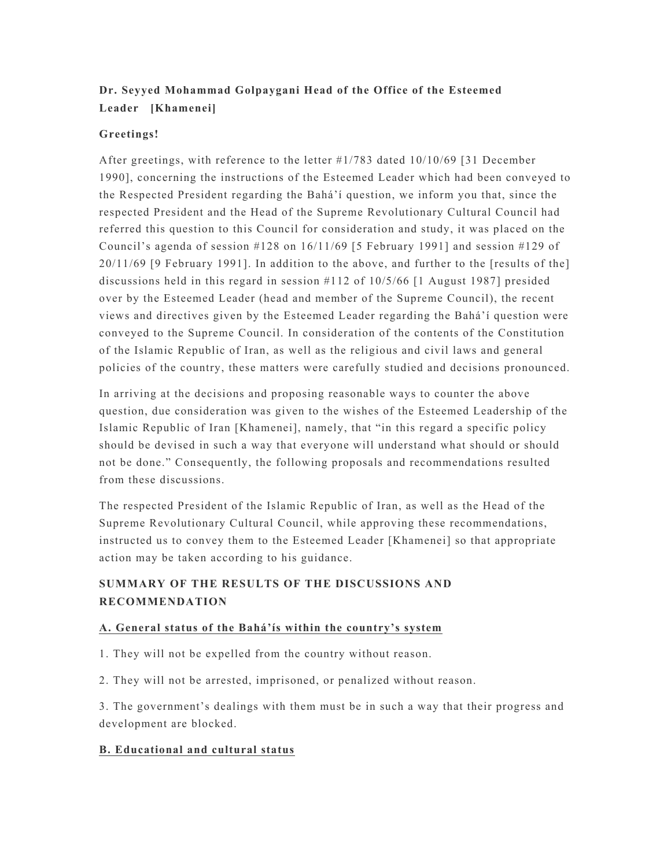# **Dr. Seyyed Mohammad Golpaygani Head of the Office of the Esteemed Leader [Khamenei]**

## **Greetings!**

After greetings, with reference to the letter #1/783 dated 10/10/69 [31 December 1990], concerning the instructions of the Esteemed Leader which had been conveyed to the Respected President regarding the Bahá'í question, we inform you that, since the respected President and the Head of the Supreme Revolutionary Cultural Council had referred this question to this Council for consideration and study, it was placed on the Council's agenda of session  $\#128$  on  $16/11/69$  [5 February 1991] and session  $\#129$  of 20/11/69 [9 February 1991]. In addition to the above, and further to the [results of the] discussions held in this regard in session #112 of 10/5/66 [1 August 1987] presided over by the Esteemed Leader (head and member of the Supreme Council), the recent views and directives given by the Esteemed Leader regarding the Bahá'í question were conveyed to the Supreme Council. In consideration of the contents of the Constitution of the Islamic Republic of Iran, as well as the religious and civil laws and general policies of the country, these matters were carefully studied and decisions pronounced.

In arriving at the decisions and proposing reasonable ways to counter the above question, due consideration was given to the wishes of the Esteemed Leadership of the Islamic Republic of Iran [Khamenei], namely, that "in this regard a specific policy should be devised in such a way that everyone will understand what should or should not be done." Consequently, the following proposals and recommendations resulted from these discussions.

The respected President of the Islamic Republic of Iran, as well as the Head of the Supreme Revolutionary Cultural Council, while approving these recommendations, instructed us to convey them to the Esteemed Leader [Khamenei] so that appropriate action may be taken according to his guidance.

# **SUMMARY OF THE RESULTS OF THE DISCUSSIONS AND RECOMMENDATION**

#### **A. General status of the Bahá'ís within the country's system**

- 1. They will not be expelled from the country without reason.
- 2. They will not be arrested, imprisoned, or penalized without reason.

3. The government's dealings with them must be in such a way that their progress and development are blocked.

## **B. Educational and cultural status**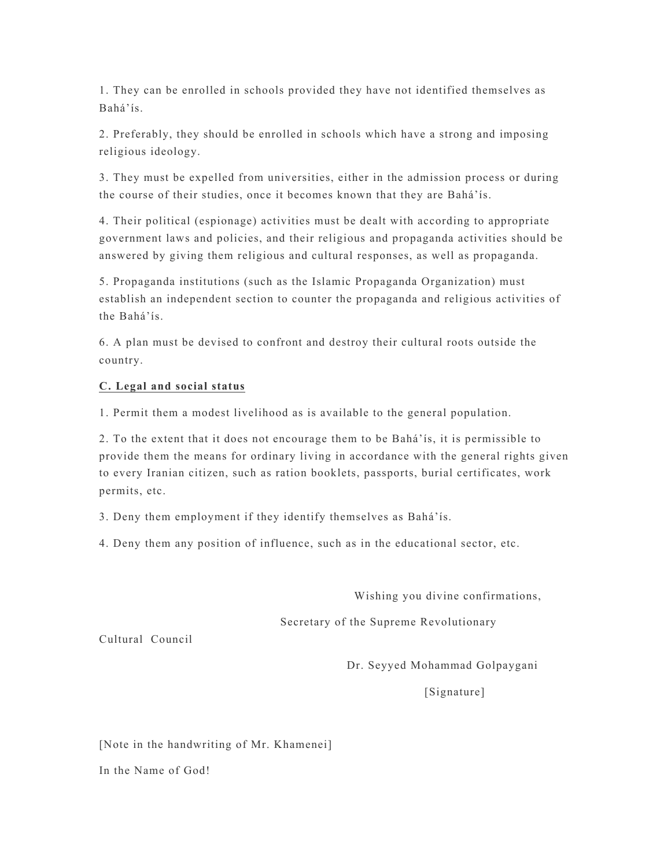1. They can be enrolled in schools provided they have not identified themselves as Bahá'ís.

2. Preferably, they should be enrolled in schools which have a strong and imposing religious ideology.

3. They must be expelled from universities, either in the admission process or during the course of their studies, once it becomes known that they are Bahá'ís.

4. Their political (espionage) activities must be dealt with according to appropriate government laws and policies, and their religious and propaganda activities should be answered by giving them religious and cultural responses, as well as propaganda.

5. Propaganda institutions (such as the Islamic Propaganda Organization) must establish an independent section to counter the propaganda and religious activities of the Bahá'ís.

6. A plan must be devised to confront and destroy their cultural roots outside the country.

## **C. Legal and social status**

1. Permit them a modest livelihood as is available to the general population.

2. To the extent that it does not encourage them to be Bahá'ís, it is permissible to provide them the means for ordinary living in accordance with the general rights given to every Iranian citizen, such as ration booklets, passports, burial certificates, work permits, etc.

3. Deny them employment if they identify themselves as Bahá'ís.

4. Deny them any position of influence, such as in the educational sector, etc.

Wishing you divine confirmations,

Secretary of the Supreme Revolutionary

Cultural Council

Dr. Seyyed Mohammad Golpaygani

[Signature]

[Note in the handwriting of Mr. Khamenei]

In the Name of God!